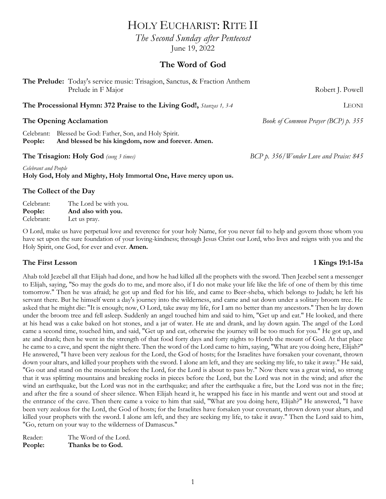# HOLY EUCHARIST: RITE II

*The Second Sunday after Pentecost* June 19, 2022

# **The Word of God**

| The Prelude: Today's service music: Trisagion, Sanctus, & Fraction Anthem<br>Prelude in F Major                           | Robert J. Powell                       |
|---------------------------------------------------------------------------------------------------------------------------|----------------------------------------|
| The Processional Hymn: 372 Praise to the Living God!, Stanzas 1, 3-4                                                      | LEONI                                  |
| The Opening Acclamation                                                                                                   | Book of Common Prayer (BCP) p. 355     |
| Celebrant: Blessed be God: Father, Son, and Holy Spirit.<br>And blessed be his kingdom, now and forever. Amen.<br>People: |                                        |
| The Trisagion: Holy God (sung 3 times)                                                                                    | BCP p. 356/Wonder Love and Praise: 845 |
| Celebrant and People<br>Holy God, Holy and Mighty, Holy Immortal One, Have mercy upon us.                                 |                                        |

## **The Collect of the Day**

| Celebrant: | The Lord be with you. |
|------------|-----------------------|
| People:    | And also with you.    |
| Celebrant: | Let us pray.          |

O Lord, make us have perpetual love and reverence for your holy Name, for you never fail to help and govern those whom you have set upon the sure foundation of your loving-kindness; through Jesus Christ our Lord, who lives and reigns with you and the Holy Spirit, one God, for ever and ever. **Amen.**

# **The First Lesson 1 Kings 19:1-15a**

Ahab told Jezebel all that Elijah had done, and how he had killed all the prophets with the sword. Then Jezebel sent a messenger to Elijah, saying, "So may the gods do to me, and more also, if I do not make your life like the life of one of them by this time tomorrow." Then he was afraid; he got up and fled for his life, and came to Beer-sheba, which belongs to Judah; he left his servant there. But he himself went a day's journey into the wilderness, and came and sat down under a solitary broom tree. He asked that he might die: "It is enough; now, O Lord, take away my life, for I am no better than my ancestors." Then he lay down under the broom tree and fell asleep. Suddenly an angel touched him and said to him, "Get up and eat." He looked, and there at his head was a cake baked on hot stones, and a jar of water. He ate and drank, and lay down again. The angel of the Lord came a second time, touched him, and said, "Get up and eat, otherwise the journey will be too much for you." He got up, and ate and drank; then he went in the strength of that food forty days and forty nights to Horeb the mount of God. At that place he came to a cave, and spent the night there. Then the word of the Lord came to him, saying, "What are you doing here, Elijah?" He answered, "I have been very zealous for the Lord, the God of hosts; for the Israelites have forsaken your covenant, thrown down your altars, and killed your prophets with the sword. I alone am left, and they are seeking my life, to take it away." He said, "Go out and stand on the mountain before the Lord, for the Lord is about to pass by." Now there was a great wind, so strong that it was splitting mountains and breaking rocks in pieces before the Lord, but the Lord was not in the wind; and after the wind an earthquake, but the Lord was not in the earthquake; and after the earthquake a fire, but the Lord was not in the fire; and after the fire a sound of sheer silence. When Elijah heard it, he wrapped his face in his mantle and went out and stood at the entrance of the cave. Then there came a voice to him that said, "What are you doing here, Elijah?" He answered, "I have been very zealous for the Lord, the God of hosts; for the Israelites have forsaken your covenant, thrown down your altars, and killed your prophets with the sword. I alone am left, and they are seeking my life, to take it away." Then the Lord said to him, "Go, return on your way to the wilderness of Damascus."

Reader: The Word of the Lord. **People: Thanks be to God.**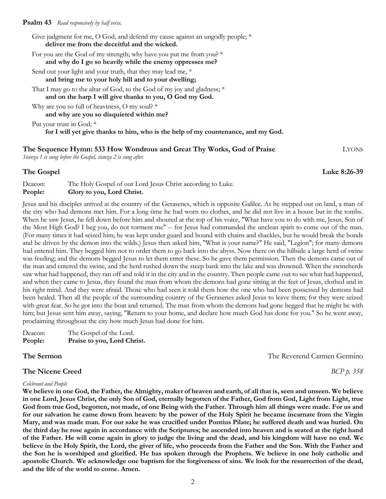### **Psalm 43** *Read responsively by half verse.*

| Give judgment for me, O God, and defend my cause against an ungodly people; *<br>deliver me from the deceitful and the wicked.        |  |
|---------------------------------------------------------------------------------------------------------------------------------------|--|
| For you are the God of my strength; why have you put me from you? $*$<br>and why do I go so heavily while the enemy oppresses me?     |  |
| Send out your light and your truth, that they may lead me, *<br>and bring me to your holy hill and to your dwelling;                  |  |
| That I may go to the altar of God, to the God of my joy and gladness; $*$<br>and on the harp I will give thanks to you, O God my God. |  |
| Why are you so full of heaviness, O my soul? $*$<br>and why are you so disquieted within me?                                          |  |
| Put your trust in God; *<br>for I will yet give thanks to him, who is the help of my countenance, and my God.                         |  |

### **The Sequence Hymn: 533 How Wondrous and Great Thy Works, God of Praise** LYONS

*Stanza 1 is sung before the Gospel, stanza 2 is sung after.*

## **The Gospel Luke 8:26-39**

Deacon: The Holy Gospel of our Lord Jesus Christ according to Luke. **People: Glory to you, Lord Christ.**

Jesus and his disciples arrived at the country of the Gerasenes, which is opposite Galilee. As he stepped out on land, a man of the city who had demons met him. For a long time he had worn no clothes, and he did not live in a house but in the tombs. When he saw Jesus, he fell down before him and shouted at the top of his voice, "What have you to do with me, Jesus, Son of the Most High God? I beg you, do not torment me" -- for Jesus had commanded the unclean spirit to come out of the man. (For many times it had seized him; he was kept under guard and bound with chains and shackles, but he would break the bonds and be driven by the demon into the wilds.) Jesus then asked him, "What is your name?" He said, "Legion"; for many demons had entered him. They begged him not to order them to go back into the abyss. Now there on the hillside a large herd of swine was feeding; and the demons begged Jesus to let them enter these. So he gave them permission. Then the demons came out of the man and entered the swine, and the herd rushed down the steep bank into the lake and was drowned. When the swineherds saw what had happened, they ran off and told it in the city and in the country. Then people came out to see what had happened, and when they came to Jesus, they found the man from whom the demons had gone sitting at the feet of Jesus, clothed and in his right mind. And they were afraid. Those who had seen it told them how the one who had been possessed by demons had been healed. Then all the people of the surrounding country of the Gerasenes asked Jesus to leave them; for they were seized with great fear. So he got into the boat and returned. The man from whom the demons had gone begged that he might be with him; but Jesus sent him away, saying, "Return to your home, and declare how much God has done for you." So he went away, proclaiming throughout the city how much Jesus had done for him.

| Deacon: | The Gospel of the Lord.     |
|---------|-----------------------------|
| People: | Praise to you, Lord Christ. |

### **The Nicene Creed** *BCP p. 358*

### *Celebrant and People*

**We believe in one God, the Father, the Almighty, maker of heaven and earth, of all that is, seen and unseen. We believe in one Lord, Jesus Christ, the only Son of God, eternally begotten of the Father, God from God, Light from Light, true God from true God, begotten, not made, of one Being with the Father. Through him all things were made. For us and for our salvation he came down from heaven: by the power of the Holy Spirit he became incarnate from the Virgin Mary, and was made man. For our sake he was crucified under Pontius Pilate; he suffered death and was buried. On the third day he rose again in accordance with the Scriptures; he ascended into heaven and is seated at the right hand of the Father. He will come again in glory to judge the living and the dead, and his kingdom will have no end. We believe in the Holy Spirit, the Lord, the giver of life, who proceeds from the Father and the Son. With the Father and the Son he is worshiped and glorified. He has spoken through the Prophets. We believe in one holy catholic and apostolic Church. We acknowledge one baptism for the forgiveness of sins. We look for the resurrection of the dead, and the life of the world to come. Amen.**

**The Sermon** The Reverend Carmen Germino

2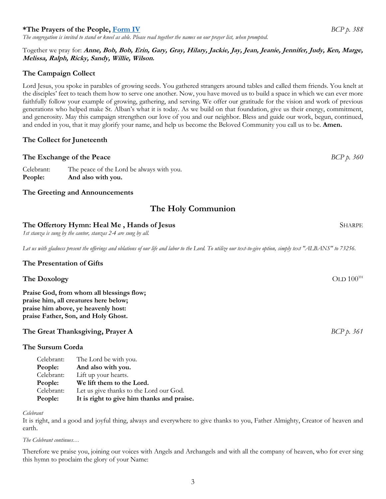# **\*The Prayers of the People, [Form IV](https://www.bcponline.org/)** *BCP p. 388*

*The congregation is invited to stand or kneel as able. Please read together the names on our prayer list, when prompted.*

# Together we pray for: **Anne, Bob, Bob, Erin, Gary, Gray, Hilary, Jackie, Jay, Jean, Jeanie, Jennifer, Judy, Ken, Marge, Melissa, Ralph, Ricky, Sandy, Willie, Wilson.**

# **The Campaign Collect**

Lord Jesus, you spoke in parables of growing seeds. You gathered strangers around tables and called them friends. You knelt at the disciples' feet to teach them how to serve one another. Now, you have moved us to build a space in which we can ever more faithfully follow your example of growing, gathering, and serving. We offer our gratitude for the vision and work of previous generations who helped make St. Alban's what it is today. As we build on that foundation, give us their energy, commitment, and generosity. May this campaign strengthen our love of you and our neighbor. Bless and guide our work, begun, continued, and ended in you, that it may glorify your name, and help us become the Beloved Community you call us to be. **Amen.**

# **The Collect for Juneteenth**

| The Exchange of the Peace |                                                                 | $BCP \, p. 360$ |
|---------------------------|-----------------------------------------------------------------|-----------------|
| Celebrant:<br>People:     | The peace of the Lord be always with you.<br>And also with you. |                 |
|                           | The Greeting and Announcements                                  |                 |

# **The Holy Communion**

| The Offertory Hymn: Heal Me, Hands of Jesus<br>1st stanza is sung by the cantor, stanzas 2-4 are sung by all.                                                  | <b>SHARPE</b> |
|----------------------------------------------------------------------------------------------------------------------------------------------------------------|---------------|
| Let us with gladness present the offerings and oblations of our life and labor to the Lord. To utilize our text-to-give option, simply text "ALBANS" to 73256. |               |

# **The Presentation of Gifts**

| The Doxology                                                                                                                                                     | OLD $100^{\text{TH}}$ |
|------------------------------------------------------------------------------------------------------------------------------------------------------------------|-----------------------|
| Praise God, from whom all blessings flow;<br>praise him, all creatures here below;<br>praise him above, ye heavenly host:<br>praise Father, Son, and Holy Ghost. |                       |
| The Great Thanksgiving, Prayer A                                                                                                                                 | $BCP \, p. 361$       |

# **The Sursum Corda**

| Celebrant: | The Lord be with you.                      |
|------------|--------------------------------------------|
| People:    | And also with you.                         |
| Celebrant: | Lift up your hearts.                       |
| People:    | We lift them to the Lord.                  |
| Celebrant: | Let us give thanks to the Lord our God.    |
| People:    | It is right to give him thanks and praise. |

### *Celebrant*

It is right, and a good and joyful thing, always and everywhere to give thanks to you, Father Almighty, Creator of heaven and earth.

*The Celebrant continues…*

Therefore we praise you, joining our voices with Angels and Archangels and with all the company of heaven, who for ever sing this hymn to proclaim the glory of your Name: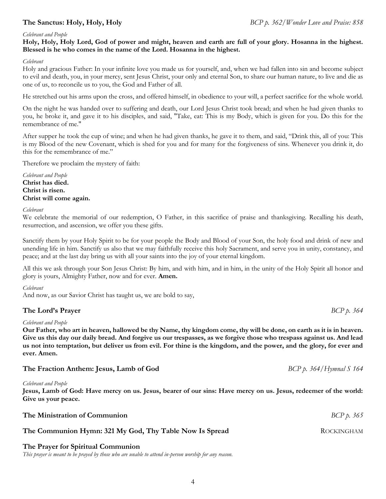### *Celebrant and People*

### **Holy, Holy, Holy Lord, God of power and might, heaven and earth are full of your glory. Hosanna in the highest. Blessed is he who comes in the name of the Lord. Hosanna in the highest.**

### *Celebrant*

Holy and gracious Father: In your infinite love you made us for yourself, and, when we had fallen into sin and become subject to evil and death, you, in your mercy, sent Jesus Christ, your only and eternal Son, to share our human nature, to live and die as one of us, to reconcile us to you, the God and Father of all.

He stretched out his arms upon the cross, and offered himself, in obedience to your will, a perfect sacrifice for the whole world.

On the night he was handed over to suffering and death, our Lord Jesus Christ took bread; and when he had given thanks to you, he broke it, and gave it to his disciples, and said, "Take, eat: This is my Body, which is given for you. Do this for the remembrance of me."

After supper he took the cup of wine; and when he had given thanks, he gave it to them, and said, "Drink this, all of you: This is my Blood of the new Covenant, which is shed for you and for many for the forgiveness of sins. Whenever you drink it, do this for the remembrance of me."

Therefore we proclaim the mystery of faith:

*Celebrant and People* **Christ has died. Christ is risen. Christ will come again.**

### *Celebrant*

We celebrate the memorial of our redemption, O Father, in this sacrifice of praise and thanksgiving. Recalling his death, resurrection, and ascension, we offer you these gifts.

Sanctify them by your Holy Spirit to be for your people the Body and Blood of your Son, the holy food and drink of new and unending life in him. Sanctify us also that we may faithfully receive this holy Sacrament, and serve you in unity, constancy, and peace; and at the last day bring us with all your saints into the joy of your eternal kingdom.

All this we ask through your Son Jesus Christ: By him, and with him, and in him, in the unity of the Holy Spirit all honor and glory is yours, Almighty Father, now and for ever. **Amen.**

### *Celebrant*

And now, as our Savior Christ has taught us, we are bold to say,

## **The Lord's Prayer** *BCP p. 364*

### *Celebrant and People*

**Our Father, who art in heaven, hallowed be thy Name, thy kingdom come, thy will be done, on earth as it is in heaven. Give us this day our daily bread. And forgive us our trespasses, as we forgive those who trespass against us. And lead us not into temptation, but deliver us from evil. For thine is the kingdom, and the power, and the glory, for ever and ever. Amen.** 

| The Fraction Anthem: Jesus, Lamb of God | $BCP p. 364/Hy$ mnal S 164 |
|-----------------------------------------|----------------------------|
|-----------------------------------------|----------------------------|

### *Celebrant and People*

**Jesus, Lamb of God: Have mercy on us. Jesus, bearer of our sins: Have mercy on us. Jesus, redeemer of the world: Give us your peace.**

| The Ministration of Communion                           | $BCP \, p. 365$ |
|---------------------------------------------------------|-----------------|
| The Communion Hymn: 321 My God, Thy Table Now Is Spread | ROCKINGHAM      |

## **The Prayer for Spiritual Communion**

*This prayer is meant to be prayed by those who are unable to attend in-person worship for any reason.*